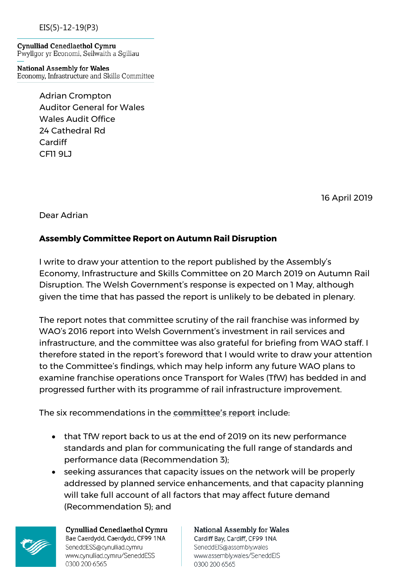EIS(5)-12-19(P3)

Cynulliad Cenedlaethol Cymru Pwyllgor yr Economi, Seilwaith a Sgiliau

**National Assembly for Wales** Economy, Infrastructure and Skills Committee

> Adrian Crompton Auditor General for Wales Wales Audit Office 24 Cathedral Rd Cardiff CF11 9LJ

> > 16 April 2019

Dear Adrian

## **Assembly Committee Report on Autumn Rail Disruption**

I write to draw your attention to the report published by the Assembly's Economy, Infrastructure and Skills Committee on 20 March 2019 on Autumn Rail Disruption. The Welsh Government's response is expected on 1 May, although given the time that has passed the report is unlikely to be debated in plenary.

The report notes that committee scrutiny of the rail franchise was informed by WAO's 2016 report into Welsh Government's investment in rail services and infrastructure, and the committee was also grateful for briefing from WAO staff. I therefore stated in the report's foreword that I would write to draw your attention to the Committee's findings, which may help inform any future WAO plans to examine franchise operations once Transport for Wales (TfW) has bedded in and progressed further with its programme of rail infrastructure improvement.

The six recommendations in the **[committee's report](http://www.assembly.wales/laid%20documents/cr-ld12419/cr-ld12419-e.pdf)** include:

- that TfW report back to us at the end of 2019 on its new performance standards and plan for communicating the full range of standards and performance data (Recommendation 3);
- seeking assurances that capacity issues on the network will be properly addressed by planned service enhancements, and that capacity planning will take full account of all factors that may affect future demand (Recommendation 5); and



Cynulliad Cenedlaethol Cymru Bae Caerdydd, Caerdydd, CF99 1NA SeneddESS@cynulliad.cymru www.cynulliad.cymru/SeneddESS 0300 200 6565

**National Assembly for Wales** Cardiff Bay, Cardiff, CF99 1NA SeneddElS@assembly.wales www.assembly.wales/SeneddEIS 0300 200 6565